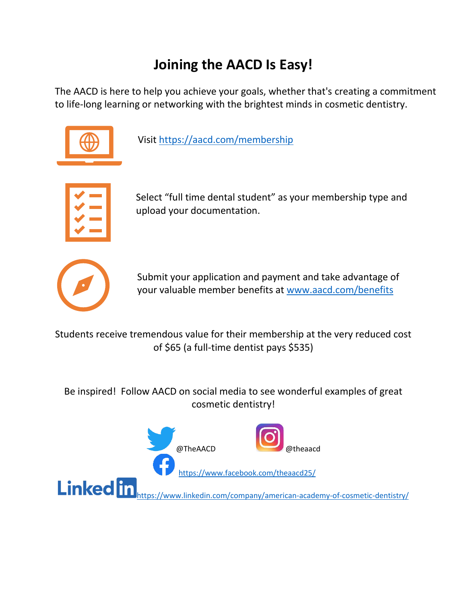# **Joining the AACD Is Easy!**

The AACD is here to help you achieve your goals, whether that's creating a commitment to life-long learning or networking with the brightest minds in cosmetic dentistry.



Visit<https://aacd.com/membership>



Select "full time dental student" as your membership type and upload your documentation.



Submit your application and payment and take advantage of your valuable member benefits at [www.aacd.com/benefits](http://www.aacd.com/benefits)

Students receive tremendous value for their membership at the very reduced cost of \$65 (a full-time dentist pays \$535)

Be inspired! Follow AACD on social media to see wonderful examples of great cosmetic dentistry!